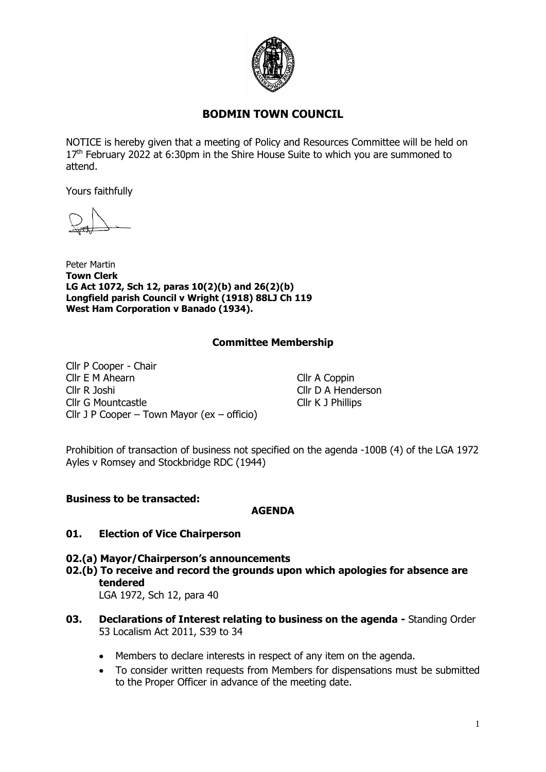

# **BODMIN TOWN COUNCIL**

NOTICE is hereby given that a meeting of Policy and Resources Committee will be held on  $17<sup>th</sup>$  February 2022 at 6:30pm in the Shire House Suite to which you are summoned to attend.

Yours faithfully

Peter Martin **Town Clerk LG Act 1072, Sch 12, paras 10(2)(b) and 26(2)(b) Longfield parish Council v Wright (1918) 88LJ Ch 119 West Ham Corporation v Banado (1934).**

## **Committee Membership**

Cllr P Cooper - Chair Cllr E M Ahearn Cllr A Coppin Cllr R Joshi Cllr D A Henderson Cllr G Mountcastle Cllr K J Phillips Cllr J P Cooper – Town Mayor (ex – officio)

Prohibition of transaction of business not specified on the agenda -100B (4) of the LGA 1972 Ayles v Romsey and Stockbridge RDC (1944)

#### **Business to be transacted:**

#### **AGENDA**

#### **01. Election of Vice Chairperson**

**02.(a) Mayor/Chairperson's announcements 02.(b) To receive and record the grounds upon which apologies for absence are tendered** LGA 1972, Sch 12, para 40

**03. Declarations of Interest relating to business on the agenda -** Standing Order 53 Localism Act 2011, S39 to 34

- Members to declare interests in respect of any item on the agenda.
- To consider written requests from Members for dispensations must be submitted to the Proper Officer in advance of the meeting date.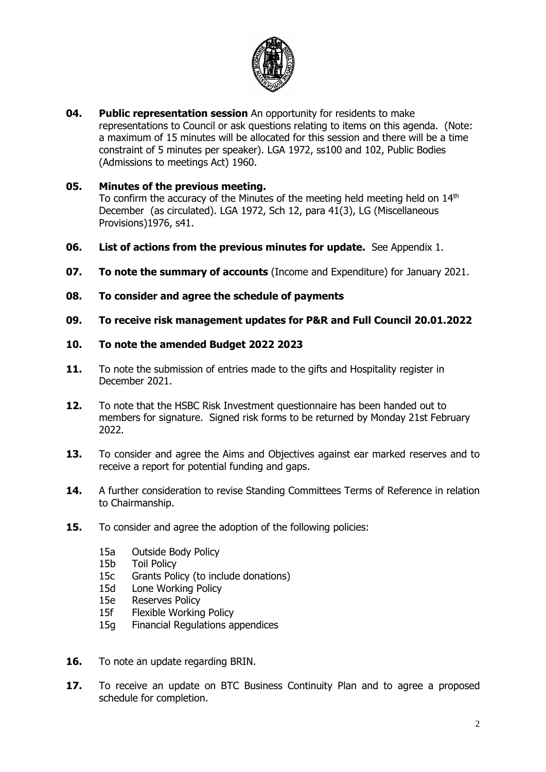

**04. Public representation session** An opportunity for residents to make representations to Council or ask questions relating to items on this agenda.(Note: a maximum of 15 minutes will be allocated for this session and there will be a time constraint of 5 minutes per speaker). LGA 1972, ss100 and 102, Public Bodies (Admissions to meetings Act) 1960.

## **05. Minutes of the previous meeting.**

To confirm the accuracy of the Minutes of the meeting held meeting held on 14<sup>th</sup> December (as circulated). LGA 1972, Sch 12, para 41(3), LG (Miscellaneous Provisions)1976, s41.

- **06. List of actions from the previous minutes for update.** See Appendix 1.
- **07. To note the summary of accounts** (Income and Expenditure) for January 2021.
- **08. To consider and agree the schedule of payments**
- **09. To receive risk management updates for P&R and Full Council 20.01.2022**

## **10. To note the amended Budget 2022 2023**

- **11.** To note the submission of entries made to the gifts and Hospitality register in December 2021.
- **12.** To note that the HSBC Risk Investment questionnaire has been handed out to members for signature. Signed risk forms to be returned by Monday 21st February 2022.
- **13.** To consider and agree the Aims and Objectives against ear marked reserves and to receive a report for potential funding and gaps.
- **14.** A further consideration to revise Standing Committees Terms of Reference in relation to Chairmanship.
- **15.** To consider and agree the adoption of the following policies:
	- 15a Outside Body Policy
	- 15b Toil Policy
	- 15c Grants Policy (to include donations)
	- 15d Lone Working Policy
	- 15e Reserves Policy
	- 15f Flexible Working Policy
	- 15g Financial Regulations appendices
- **16.** To note an update regarding BRIN.
- **17.** To receive an update on BTC Business Continuity Plan and to agree a proposed schedule for completion.